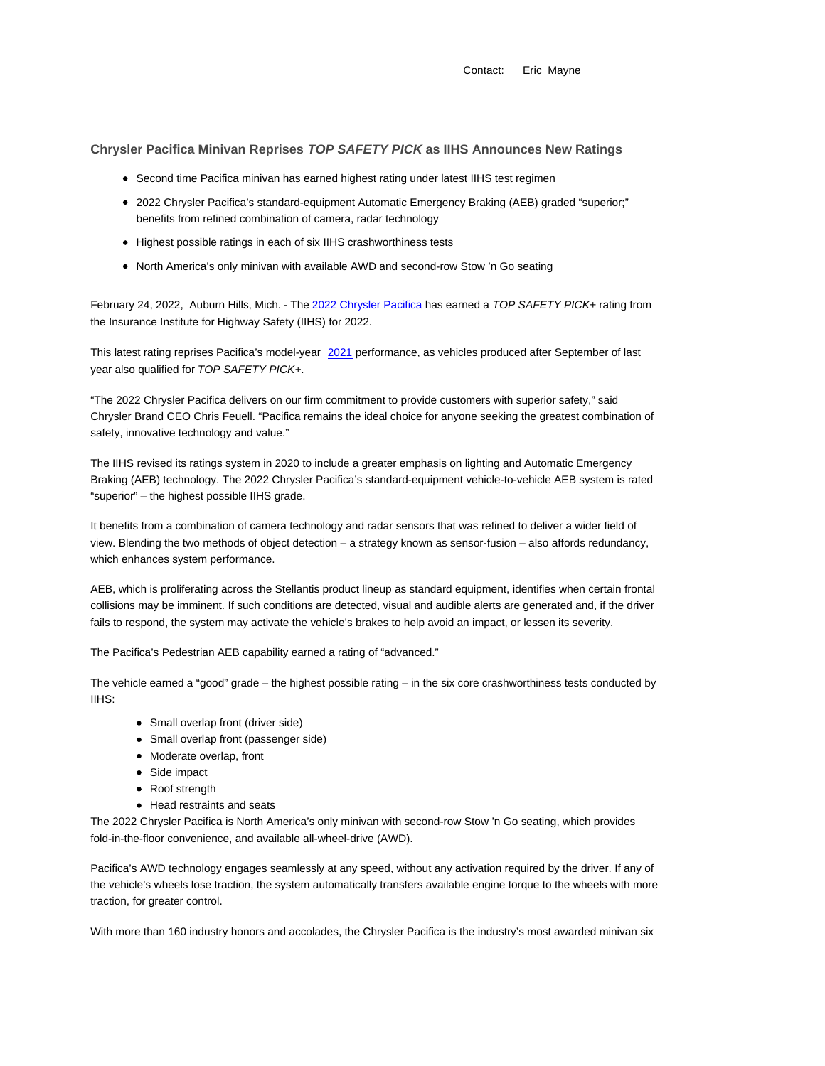Contact: Eric Mayne

**Chrysler Pacifica Minivan Reprises TOP SAFETY PICK as IIHS Announces New Ratings**

- Second time Pacifica minivan has earned highest rating under latest IIHS test regimen
- 2022 Chrysler Pacifica's standard-equipment Automatic Emergency Braking (AEB) graded "superior;" benefits from refined combination of camera, radar technology
- Highest possible ratings in each of six IIHS crashworthiness tests
- North America's only minivan with available AWD and second-row Stow 'n Go seating

February 24, 2022, Auburn Hills, Mich. - The 2022 Chrysler Pacifica has earned a TOP SAFETY PICK+ rating from the Insurance Institute for Highway Safety (IIHS) for 2022.

This latest rating reprises Pacifica's model-year 2021 performance, as vehicles produced after September of last year also qualified for TOP SAFETY PICK+.

"The 2022 Chrysler Pacifica delivers on our firm commitment to provide customers with superior safety," said Chrysler Brand CEO Chris Feuell. "Pacifica remains the ideal choice for anyone seeking the greatest combination of safety, innovative technology and value."

The IIHS revised its ratings system in 2020 to include a greater emphasis on lighting and Automatic Emergency Braking (AEB) technology. The 2022 Chrysler Pacifica's standard-equipment vehicle-to-vehicle AEB system is rated "superior" – the highest possible IIHS grade.

It benefits from a combination of camera technology and radar sensors that was refined to deliver a wider field of view. Blending the two methods of object detection – a strategy known as sensor-fusion – also affords redundancy, which enhances system performance.

AEB, which is proliferating across the Stellantis product lineup as standard equipment, identifies when certain frontal collisions may be imminent. If such conditions are detected, visual and audible alerts are generated and, if the driver fails to respond, the system may activate the vehicle's brakes to help avoid an impact, or lessen its severity.

The Pacifica's Pedestrian AEB capability earned a rating of "advanced."

The vehicle earned a "good" grade – the highest possible rating – in the six core crashworthiness tests conducted by IIHS:

- Small overlap front (driver side)
- Small overlap front (passenger side)
- Moderate overlap, front
- Side impact
- Roof strength
- Head restraints and seats

The 2022 Chrysler Pacifica is North America's only minivan with second-row Stow 'n Go seating, which provides fold-in-the-floor convenience, and available all-wheel-drive (AWD).

Pacifica's AWD technology engages seamlessly at any speed, without any activation required by the driver. If any of the vehicle's wheels lose traction, the system automatically transfers available engine torque to the wheels with more traction, for greater control.

With more than 160 industry honors and accolades, the Chrysler Pacifica is the industry's most awarded minivan six